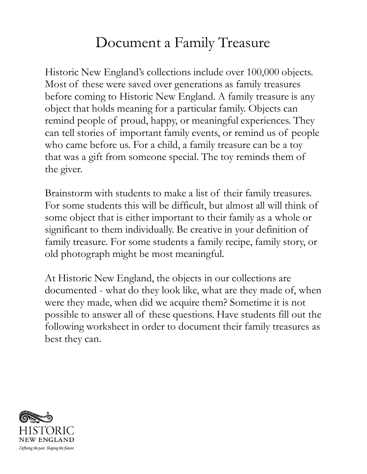## Document a Family Treasure

Historic New England's collections include over 100,000 objects. Most of these were saved over generations as family treasures before coming to Historic New England. A family treasure is any object that holds meaning for a particular family. Objects can remind people of proud, happy, or meaningful experiences. They can tell stories of important family events, or remind us of people who came before us. For a child, a family treasure can be a toy that was a gift from someone special. The toy reminds them of the giver.

Brainstorm with students to make a list of their family treasures. For some students this will be difficult, but almost all will think of some object that is either important to their family as a whole or significant to them individually. Be creative in your definition of family treasure. For some students a family recipe, family story, or old photograph might be most meaningful.

At Historic New England, the objects in our collections are documented - what do they look like, what are they made of, when were they made, when did we acquire them? Sometime it is not possible to answer all of these questions. Have students fill out the following worksheet in order to document their family treasures as best they can.